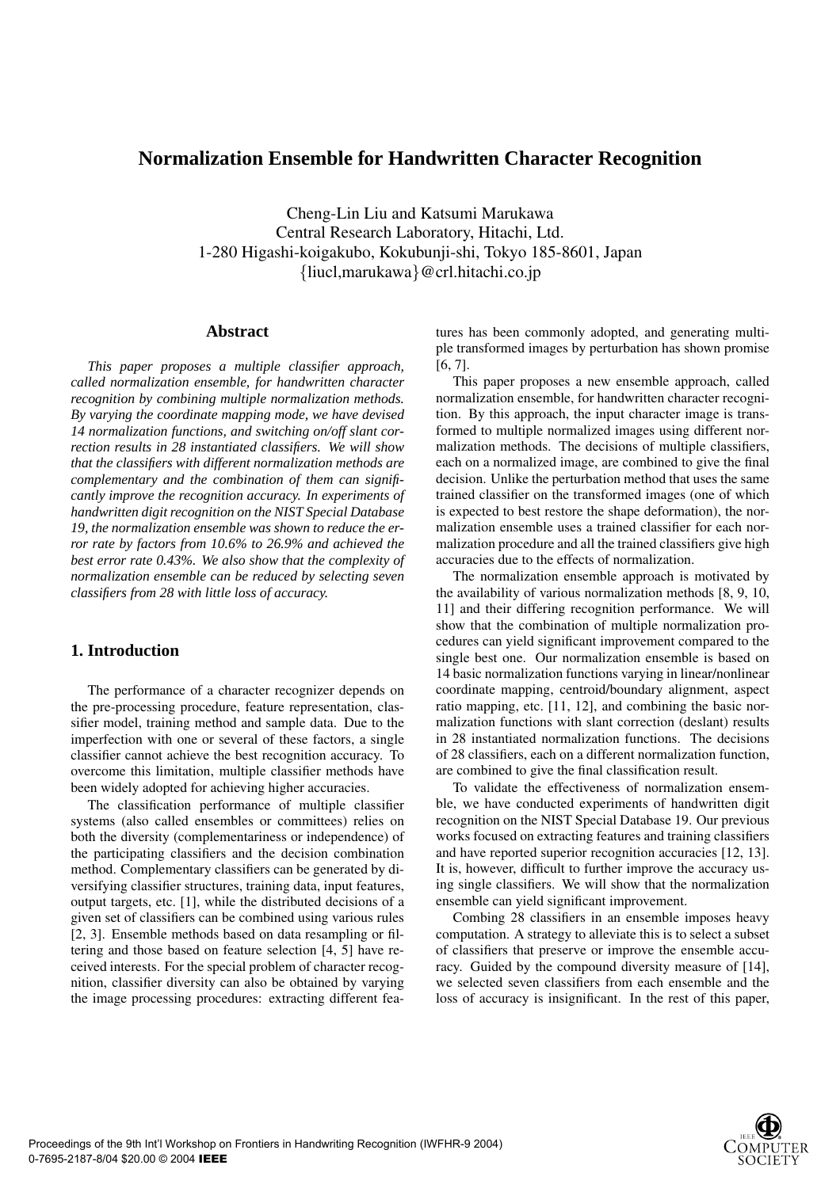# **Normalization Ensemble for Handwritten Character Recognition**

Cheng-Lin Liu and Katsumi Marukawa Central Research Laboratory, Hitachi, Ltd. 1-280 Higashi-koigakubo, Kokubunji-shi, Tokyo 185-8601, Japan {liucl,marukawa}@crl.hitachi.co.jp

### **Abstract**

*This paper proposes a multiple classifier approach, called normalization ensemble, for handwritten character recognition by combining multiple normalization methods. By varying the coordinate mapping mode, we have devised 14 normalization functions, and switching on/off slant correction results in 28 instantiated classifiers. We will show that the classifiers with different normalization methods are complementary and the combination of them can significantly improve the recognition accuracy. In experiments of handwritten digit recognition on the NIST Special Database 19, the normalization ensemble was shown to reduce the error rate by factors from 10.6% to 26.9% and achieved the best error rate 0.43%. We also show that the complexity of normalization ensemble can be reduced by selecting seven classifiers from 28 with little loss of accuracy.*

# **1. Introduction**

The performance of a character recognizer depends on the pre-processing procedure, feature representation, classifier model, training method and sample data. Due to the imperfection with one or several of these factors, a single classifier cannot achieve the best recognition accuracy. To overcome this limitation, multiple classifier methods have been widely adopted for achieving higher accuracies.

The classification performance of multiple classifier systems (also called ensembles or committees) relies on both the diversity (complementariness or independence) of the participating classifiers and the decision combination method. Complementary classifiers can be generated by diversifying classifier structures, training data, input features, output targets, etc. [1], while the distributed decisions of a given set of classifiers can be combined using various rules [2, 3]. Ensemble methods based on data resampling or filtering and those based on feature selection [4, 5] have received interests. For the special problem of character recognition, classifier diversity can also be obtained by varying the image processing procedures: extracting different features has been commonly adopted, and generating multiple transformed images by perturbation has shown promise [6, 7].

This paper proposes a new ensemble approach, called normalization ensemble, for handwritten character recognition. By this approach, the input character image is transformed to multiple normalized images using different normalization methods. The decisions of multiple classifiers, each on a normalized image, are combined to give the final decision. Unlike the perturbation method that uses the same trained classifier on the transformed images (one of which is expected to best restore the shape deformation), the normalization ensemble uses a trained classifier for each normalization procedure and all the trained classifiers give high accuracies due to the effects of normalization.

The normalization ensemble approach is motivated by the availability of various normalization methods [8, 9, 10, 11] and their differing recognition performance. We will show that the combination of multiple normalization procedures can yield significant improvement compared to the single best one. Our normalization ensemble is based on 14 basic normalization functions varying in linear/nonlinear coordinate mapping, centroid/boundary alignment, aspect ratio mapping, etc. [11, 12], and combining the basic normalization functions with slant correction (deslant) results in 28 instantiated normalization functions. The decisions of 28 classifiers, each on a different normalization function, are combined to give the final classification result.

To validate the effectiveness of normalization ensemble, we have conducted experiments of handwritten digit recognition on the NIST Special Database 19. Our previous works focused on extracting features and training classifiers and have reported superior recognition accuracies [12, 13]. It is, however, difficult to further improve the accuracy using single classifiers. We will show that the normalization ensemble can yield significant improvement.

Combing 28 classifiers in an ensemble imposes heavy computation. A strategy to alleviate this is to select a subset of classifiers that preserve or improve the ensemble accuracy. Guided by the compound diversity measure of [14], we selected seven classifiers from each ensemble and the loss of accuracy is insignificant. In the rest of this paper,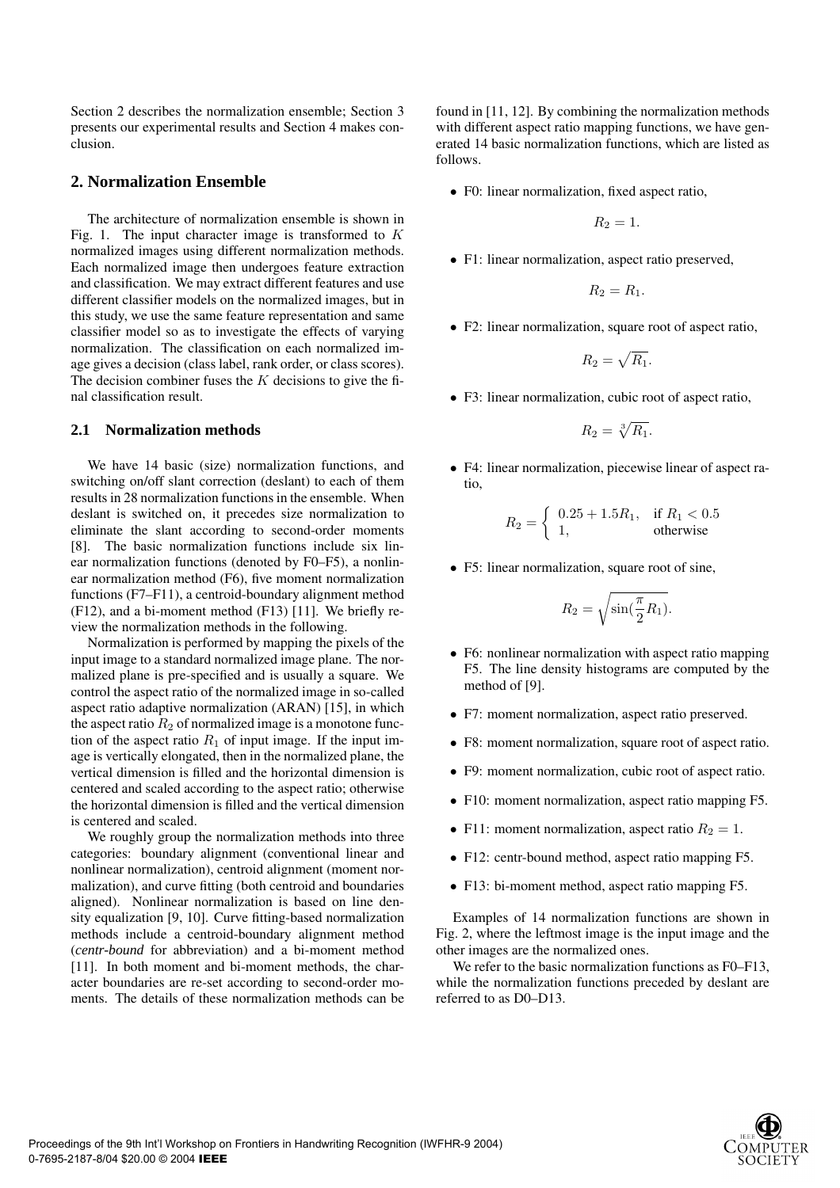Section 2 describes the normalization ensemble; Section 3 presents our experimental results and Section 4 makes conclusion.

# **2. Normalization Ensemble**

The architecture of normalization ensemble is shown in Fig. 1. The input character image is transformed to  $K$ normalized images using different normalization methods. Each normalized image then undergoes feature extraction and classification. We may extract different features and use different classifier models on the normalized images, but in this study, we use the same feature representation and same classifier model so as to investigate the effects of varying normalization. The classification on each normalized image gives a decision (class label, rank order, or class scores). The decision combiner fuses the  $K$  decisions to give the final classification result.

### **2.1 Normalization methods**

We have 14 basic (size) normalization functions, and switching on/off slant correction (deslant) to each of them results in 28 normalization functions in the ensemble. When deslant is switched on, it precedes size normalization to eliminate the slant according to second-order moments [8]. The basic normalization functions include six linear normalization functions (denoted by F0–F5), a nonlinear normalization method (F6), five moment normalization functions (F7–F11), a centroid-boundary alignment method (F12), and a bi-moment method (F13) [11]. We briefly review the normalization methods in the following.

Normalization is performed by mapping the pixels of the input image to a standard normalized image plane. The normalized plane is pre-specified and is usually a square. We control the aspect ratio of the normalized image in so-called aspect ratio adaptive normalization (ARAN) [15], in which the aspect ratio  $R_2$  of normalized image is a monotone function of the aspect ratio  $R_1$  of input image. If the input image is vertically elongated, then in the normalized plane, the vertical dimension is filled and the horizontal dimension is centered and scaled according to the aspect ratio; otherwise the horizontal dimension is filled and the vertical dimension is centered and scaled.

We roughly group the normalization methods into three categories: boundary alignment (conventional linear and nonlinear normalization), centroid alignment (moment normalization), and curve fitting (both centroid and boundaries aligned). Nonlinear normalization is based on line density equalization [9, 10]. Curve fitting-based normalization methods include a centroid-boundary alignment method (*centr-bound* for abbreviation) and a bi-moment method [11]. In both moment and bi-moment methods, the character boundaries are re-set according to second-order moments. The details of these normalization methods can be found in [11, 12]. By combining the normalization methods with different aspect ratio mapping functions, we have generated 14 basic normalization functions, which are listed as follows.

• F0: linear normalization, fixed aspect ratio,

$$
R_2=1.
$$

• F1: linear normalization, aspect ratio preserved,

$$
R_2=R_1.
$$

• F2: linear normalization, square root of aspect ratio,

$$
R_2=\sqrt{R_1}.
$$

• F3: linear normalization, cubic root of aspect ratio,

$$
R_2 = \sqrt[3]{R_1}.
$$

• F4: linear normalization, piecewise linear of aspect ratio,

$$
R_2 = \begin{cases} 0.25 + 1.5R_1, & \text{if } R_1 < 0.5\\ 1, & \text{otherwise} \end{cases}
$$

• F5: linear normalization, square root of sine,

$$
R_2 = \sqrt{\sin(\frac{\pi}{2}R_1)}.
$$

- F6: nonlinear normalization with aspect ratio mapping F5. The line density histograms are computed by the method of [9].
- F7: moment normalization, aspect ratio preserved.
- F8: moment normalization, square root of aspect ratio.
- F9: moment normalization, cubic root of aspect ratio.
- F10: moment normalization, aspect ratio mapping F5.
- F11: moment normalization, aspect ratio  $R_2 = 1$ .
- F12: centr-bound method, aspect ratio mapping F5.
- F13: bi-moment method, aspect ratio mapping F5.

Examples of 14 normalization functions are shown in Fig. 2, where the leftmost image is the input image and the other images are the normalized ones.

We refer to the basic normalization functions as  $F0-F13$ . while the normalization functions preceded by deslant are referred to as D0–D13.

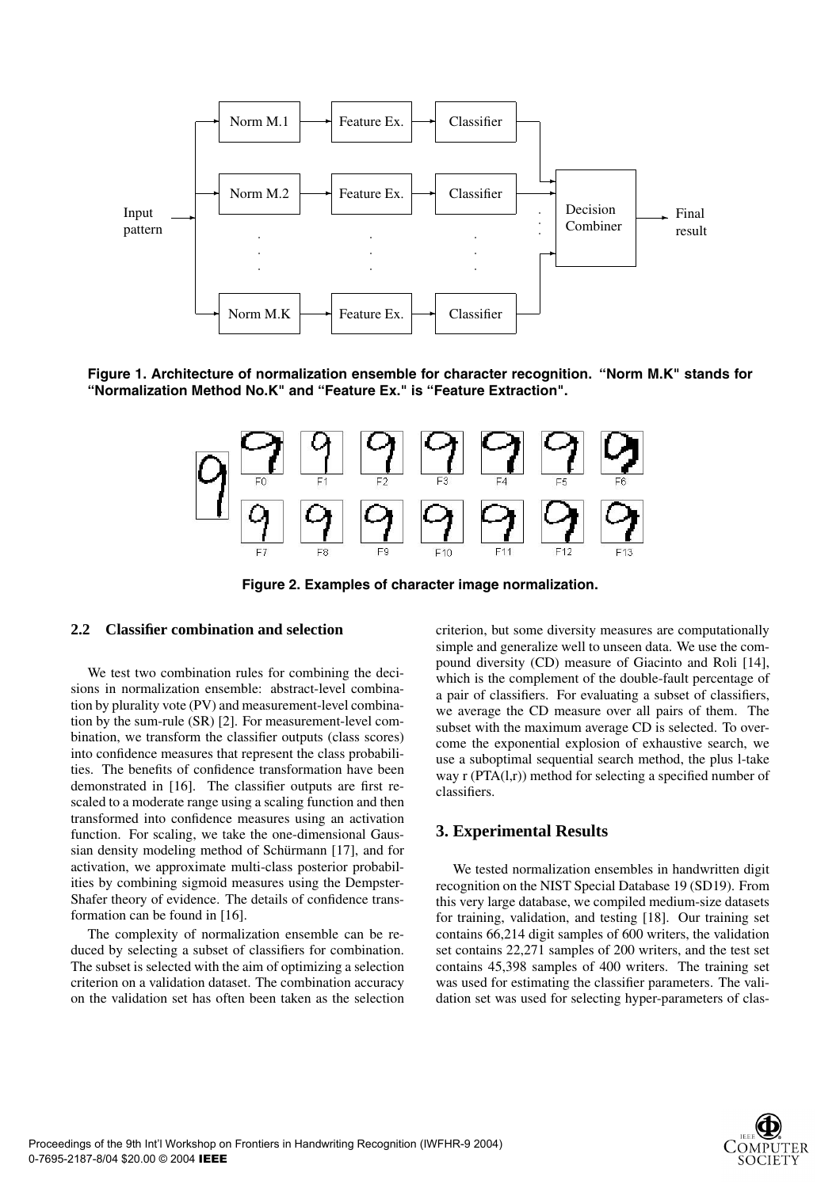

**Figure 1. Architecture of normalization ensemble for character recognition. "Norm M.K" stands for "Normalization Method No.K" and "Feature Ex." is "Feature Extraction".**



**Figure 2. Examples of character image normalization.**

### **2.2 Classifier combination and selection**

We test two combination rules for combining the decisions in normalization ensemble: abstract-level combination by plurality vote (PV) and measurement-level combination by the sum-rule (SR) [2]. For measurement-level combination, we transform the classifier outputs (class scores) into confidence measures that represent the class probabilities. The benefits of confidence transformation have been demonstrated in [16]. The classifier outputs are first rescaled to a moderate range using a scaling function and then transformed into confidence measures using an activation function. For scaling, we take the one-dimensional Gaussian density modeling method of Schürmann [17], and for activation, we approximate multi-class posterior probabilities by combining sigmoid measures using the Dempster-Shafer theory of evidence. The details of confidence transformation can be found in [16].

The complexity of normalization ensemble can be reduced by selecting a subset of classifiers for combination. The subset is selected with the aim of optimizing a selection criterion on a validation dataset. The combination accuracy on the validation set has often been taken as the selection criterion, but some diversity measures are computationally simple and generalize well to unseen data. We use the compound diversity (CD) measure of Giacinto and Roli [14], which is the complement of the double-fault percentage of a pair of classifiers. For evaluating a subset of classifiers, we average the CD measure over all pairs of them. The subset with the maximum average CD is selected. To overcome the exponential explosion of exhaustive search, we use a suboptimal sequential search method, the plus l-take way r (PTA(l,r)) method for selecting a specified number of classifiers.

## **3. Experimental Results**

We tested normalization ensembles in handwritten digit recognition on the NIST Special Database 19 (SD19). From this very large database, we compiled medium-size datasets for training, validation, and testing [18]. Our training set contains 66,214 digit samples of 600 writers, the validation set contains 22,271 samples of 200 writers, and the test set contains 45,398 samples of 400 writers. The training set was used for estimating the classifier parameters. The validation set was used for selecting hyper-parameters of clas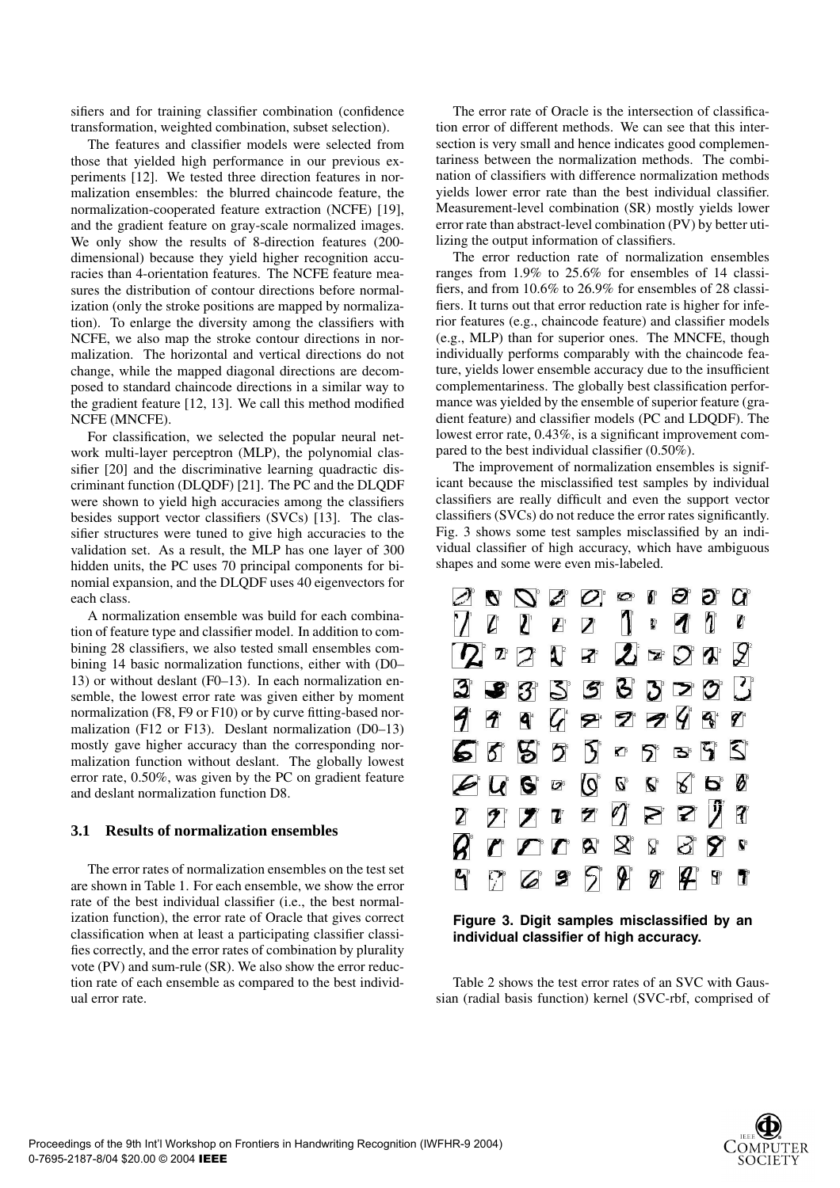sifiers and for training classifier combination (confidence transformation, weighted combination, subset selection).

The features and classifier models were selected from those that yielded high performance in our previous experiments [12]. We tested three direction features in normalization ensembles: the blurred chaincode feature, the normalization-cooperated feature extraction (NCFE) [19], and the gradient feature on gray-scale normalized images. We only show the results of 8-direction features (200 dimensional) because they yield higher recognition accuracies than 4-orientation features. The NCFE feature measures the distribution of contour directions before normalization (only the stroke positions are mapped by normalization). To enlarge the diversity among the classifiers with NCFE, we also map the stroke contour directions in normalization. The horizontal and vertical directions do not change, while the mapped diagonal directions are decomposed to standard chaincode directions in a similar way to the gradient feature [12, 13]. We call this method modified NCFE (MNCFE).

For classification, we selected the popular neural network multi-layer perceptron (MLP), the polynomial classifier [20] and the discriminative learning quadractic discriminant function (DLQDF) [21]. The PC and the DLQDF were shown to yield high accuracies among the classifiers besides support vector classifiers (SVCs) [13]. The classifier structures were tuned to give high accuracies to the validation set. As a result, the MLP has one layer of 300 hidden units, the PC uses 70 principal components for binomial expansion, and the DLQDF uses 40 eigenvectors for each class.

A normalization ensemble was build for each combination of feature type and classifier model. In addition to combining 28 classifiers, we also tested small ensembles combining 14 basic normalization functions, either with (D0– 13) or without deslant (F0–13). In each normalization ensemble, the lowest error rate was given either by moment normalization (F8, F9 or F10) or by curve fitting-based normalization (F12 or F13). Deslant normalization (D0–13) mostly gave higher accuracy than the corresponding normalization function without deslant. The globally lowest error rate, 0.50%, was given by the PC on gradient feature and deslant normalization function D8.

#### **3.1 Results of normalization ensembles**

The error rates of normalization ensembles on the test set are shown in Table 1. For each ensemble, we show the error rate of the best individual classifier (i.e., the best normalization function), the error rate of Oracle that gives correct classification when at least a participating classifier classifies correctly, and the error rates of combination by plurality vote (PV) and sum-rule (SR). We also show the error reduction rate of each ensemble as compared to the best individual error rate.

The error rate of Oracle is the intersection of classification error of different methods. We can see that this intersection is very small and hence indicates good complementariness between the normalization methods. The combination of classifiers with difference normalization methods yields lower error rate than the best individual classifier. Measurement-level combination (SR) mostly yields lower error rate than abstract-level combination (PV) by better utilizing the output information of classifiers.

The error reduction rate of normalization ensembles ranges from 1.9% to 25.6% for ensembles of 14 classifiers, and from 10.6% to 26.9% for ensembles of 28 classifiers. It turns out that error reduction rate is higher for inferior features (e.g., chaincode feature) and classifier models (e.g., MLP) than for superior ones. The MNCFE, though individually performs comparably with the chaincode feature, yields lower ensemble accuracy due to the insufficient complementariness. The globally best classification performance was yielded by the ensemble of superior feature (gradient feature) and classifier models (PC and LDQDF). The lowest error rate, 0.43%, is a significant improvement compared to the best individual classifier (0.50%).

The improvement of normalization ensembles is significant because the misclassified test samples by individual classifiers are really difficult and even the support vector classifiers (SVCs) do not reduce the error rates significantly. Fig. 3 shows some test samples misclassified by an individual classifier of high accuracy, which have ambiguous shapes and some were even mis-labeled.



**Figure 3. Digit samples misclassified by an individual classifier of high accuracy.**

Table 2 shows the test error rates of an SVC with Gaussian (radial basis function) kernel (SVC-rbf, comprised of

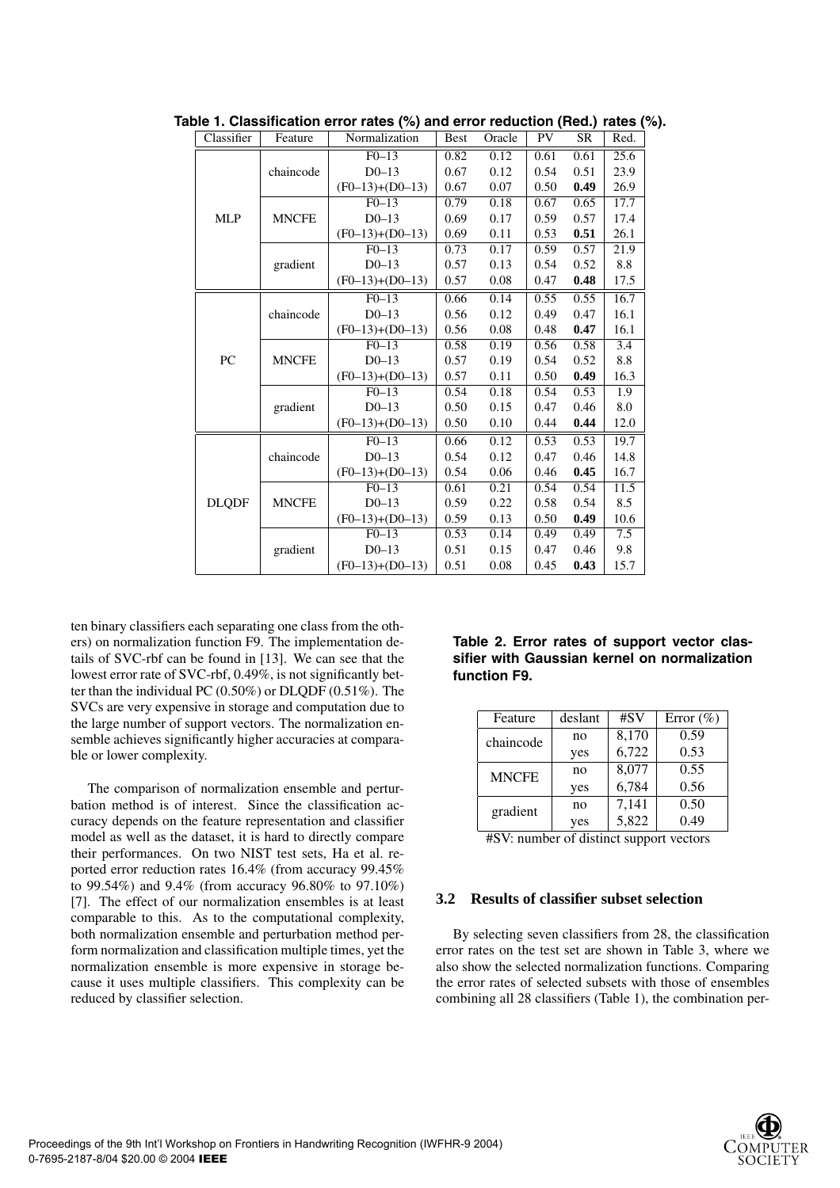| Classifier   | Feature      | .<br>Normalization<br>PV<br>Oracle<br><b>Best</b> |      | --,<br>SR | Red. |      |                  |
|--------------|--------------|---------------------------------------------------|------|-----------|------|------|------------------|
| <b>MLP</b>   | chaincode    | $F0-13$                                           | 0.82 | 0.12      | 0.61 | 0.61 | 25.6             |
|              |              | $D0-13$                                           | 0.67 | 0.12      | 0.54 | 0.51 | 23.9             |
|              |              | $(F0-13)+(D0-13)$                                 | 0.67 | 0.07      | 0.50 | 0.49 | 26.9             |
|              | <b>MNCFE</b> | $F0-13$                                           | 0.79 | 0.18      | 0.67 | 0.65 | 17.7             |
|              |              | $D0$ -13                                          | 0.69 | 0.17      | 0.59 | 0.57 | 17.4             |
|              |              | $(F0-13)+(D0-13)$                                 | 0.69 | 0.11      | 0.53 | 0.51 | 26.1             |
|              | gradient     | $F0-13$                                           | 0.73 | 0.17      | 0.59 | 0.57 | 21.9             |
|              |              | $D0-13$                                           | 0.57 | 0.13      | 0.54 | 0.52 | 8.8              |
|              |              | $(F0-13)+(D0-13)$                                 | 0.57 | 0.08      | 0.47 | 0.48 | 17.5             |
|              | chaincode    | $F0-13$                                           | 0.66 | 0.14      | 0.55 | 0.55 | 16.7             |
| PC           |              | $D0$ -13                                          | 0.56 | 0.12      | 0.49 | 0.47 | 16.1             |
|              |              | $(F0-13)+(D0-13)$                                 | 0.56 | 0.08      | 0.48 | 0.47 | 16.1             |
|              | <b>MNCFE</b> | $F0-13$                                           | 0.58 | 0.19      | 0.56 | 0.58 | $\overline{3.4}$ |
|              |              | $D0$ -13                                          | 0.57 | 0.19      | 0.54 | 0.52 | $\!\!\!\!\!8.8$  |
|              |              | $(F0-13)+(D0-13)$                                 | 0.57 | 0.11      | 0.50 | 0.49 | 16.3             |
|              | gradient     | $\overline{F0-13}$                                | 0.54 | 0.18      | 0.54 | 0.53 | $\overline{1.9}$ |
|              |              | $D0-13$                                           | 0.50 | 0.15      | 0.47 | 0.46 | 8.0              |
|              |              | $(F0-13)+(D0-13)$                                 | 0.50 | 0.10      | 0.44 | 0.44 | 12.0             |
|              | chaincode    | $F0-13$                                           | 0.66 | 0.12      | 0.53 | 0.53 | 19.7             |
|              |              | $D0$ -13                                          | 0.54 | 0.12      | 0.47 | 0.46 | 14.8             |
|              |              | $(F0-13)+(D0-13)$                                 | 0.54 | 0.06      | 0.46 | 0.45 | 16.7             |
|              | <b>MNCFE</b> | $\overline{F0-13}$                                | 0.61 | 0.21      | 0.54 | 0.54 | 11.5             |
| <b>DLQDF</b> |              | $D0-13$                                           | 0.59 | 0.22      | 0.58 | 0.54 | 8.5              |
|              |              | $(F0-13)+(D0-13)$                                 | 0.59 | 0.13      | 0.50 | 0.49 | 10.6             |
|              | gradient     | $F0-13$                                           | 0.53 | 0.14      | 0.49 | 0.49 | 7.5              |
|              |              | $D0-13$                                           | 0.51 | 0.15      | 0.47 | 0.46 | 9.8              |
|              |              | $(F0-13)+(D0-13)$                                 | 0.51 | 0.08      | 0.45 | 0.43 | 15.7             |

**Table 1. Classification error rates (%) and error reduction (Red.) rates (%).**

ten binary classifiers each separating one class from the others) on normalization function F9. The implementation details of SVC-rbf can be found in [13]. We can see that the lowest error rate of SVC-rbf, 0.49%, is not significantly better than the individual PC (0.50%) or DLQDF (0.51%). The SVCs are very expensive in storage and computation due to the large number of support vectors. The normalization ensemble achieves significantly higher accuracies at comparable or lower complexity.

The comparison of normalization ensemble and perturbation method is of interest. Since the classification accuracy depends on the feature representation and classifier model as well as the dataset, it is hard to directly compare their performances. On two NIST test sets, Ha et al. reported error reduction rates 16.4% (from accuracy 99.45% to 99.54%) and 9.4% (from accuracy 96.80% to 97.10%) [7]. The effect of our normalization ensembles is at least comparable to this. As to the computational complexity, both normalization ensemble and perturbation method perform normalization and classification multiple times, yet the normalization ensemble is more expensive in storage because it uses multiple classifiers. This complexity can be reduced by classifier selection.

**Table 2. Error rates of support vector classifier with Gaussian kernel on normalization function F9.**

| Feature      | deslant | #SV   | Error $(\% )$ |
|--------------|---------|-------|---------------|
| chaincode    | no      | 8,170 | 0.59          |
|              | yes     | 6,722 | 0.53          |
| <b>MNCFE</b> | no      | 8,077 | 0.55          |
|              | yes     | 6,784 | 0.56          |
| gradient     | no      | 7,141 | 0.50          |
|              | yes     | 5,822 | 0.49          |

#SV: number of distinct support vectors

# **3.2 Results of classifier subset selection**

By selecting seven classifiers from 28, the classification error rates on the test set are shown in Table 3, where we also show the selected normalization functions. Comparing the error rates of selected subsets with those of ensembles combining all 28 classifiers (Table 1), the combination per-